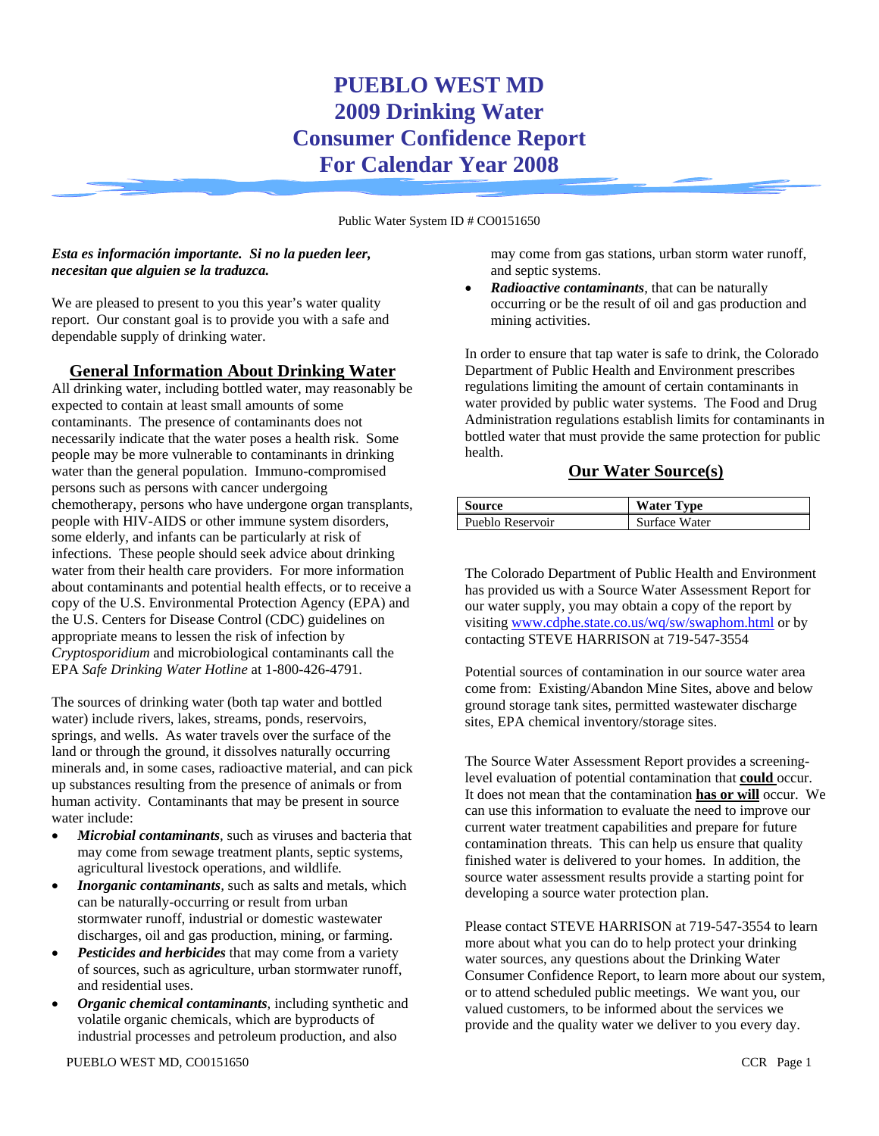# **PUEBLO WEST MD 2009 Drinking Water Consumer Confidence Report For Calendar Year 2008**

Public Water System ID # CO0151650

#### *Esta es información importante. Si no la pueden leer, necesitan que alguien se la traduzca.*

We are pleased to present to you this year's water quality report. Our constant goal is to provide you with a safe and dependable supply of drinking water.

### **General Information About Drinking Water**

All drinking water, including bottled water, may reasonably be expected to contain at least small amounts of some contaminants. The presence of contaminants does not necessarily indicate that the water poses a health risk. Some people may be more vulnerable to contaminants in drinking water than the general population. Immuno-compromised persons such as persons with cancer undergoing chemotherapy, persons who have undergone organ transplants, people with HIV-AIDS or other immune system disorders, some elderly, and infants can be particularly at risk of infections. These people should seek advice about drinking water from their health care providers. For more information about contaminants and potential health effects, or to receive a copy of the U.S. Environmental Protection Agency (EPA) and the U.S. Centers for Disease Control (CDC) guidelines on appropriate means to lessen the risk of infection by *Cryptosporidium* and microbiological contaminants call the EPA *Safe Drinking Water Hotline* at 1-800-426-4791.

The sources of drinking water (both tap water and bottled water) include rivers, lakes, streams, ponds, reservoirs, springs, and wells. As water travels over the surface of the land or through the ground, it dissolves naturally occurring minerals and, in some cases, radioactive material, and can pick up substances resulting from the presence of animals or from human activity. Contaminants that may be present in source water include:

- *Microbial contaminants,* such as viruses and bacteria that may come from sewage treatment plants, septic systems, agricultural livestock operations, and wildlife*.*
- *Inorganic contaminants*, such as salts and metals, which can be naturally-occurring or result from urban stormwater runoff, industrial or domestic wastewater discharges, oil and gas production, mining, or farming.
- **Pesticides and herbicides** that may come from a variety of sources, such as agriculture, urban stormwater runoff, and residential uses.
- *Organic chemical contaminants,* including synthetic and volatile organic chemicals, which are byproducts of industrial processes and petroleum production, and also

may come from gas stations, urban storm water runoff, and septic systems.

• *Radioactive contaminants,* that can be naturally occurring or be the result of oil and gas production and mining activities.

In order to ensure that tap water is safe to drink, the Colorado Department of Public Health and Environment prescribes regulations limiting the amount of certain contaminants in water provided by public water systems. The Food and Drug Administration regulations establish limits for contaminants in bottled water that must provide the same protection for public health.

### **Our Water Source(s)**

| Source           | <b>Water Type</b> |
|------------------|-------------------|
| Pueblo Reservoir | Surface Water     |

The Colorado Department of Public Health and Environment has provided us with a Source Water Assessment Report for our water supply, you may obtain a copy of the report by visiting www.cdphe.state.co.us/wq/sw/swaphom.html or by contacting STEVE HARRISON at 719-547-3554

Potential sources of contamination in our source water area come from: Existing/Abandon Mine Sites, above and below ground storage tank sites, permitted wastewater discharge sites, EPA chemical inventory/storage sites.

The Source Water Assessment Report provides a screeninglevel evaluation of potential contamination that **could** occur. It does not mean that the contamination **has or will** occur. We can use this information to evaluate the need to improve our current water treatment capabilities and prepare for future contamination threats. This can help us ensure that quality finished water is delivered to your homes. In addition, the source water assessment results provide a starting point for developing a source water protection plan.

Please contact STEVE HARRISON at 719-547-3554 to learn more about what you can do to help protect your drinking water sources, any questions about the Drinking Water Consumer Confidence Report, to learn more about our system, or to attend scheduled public meetings. We want you, our valued customers, to be informed about the services we provide and the quality water we deliver to you every day.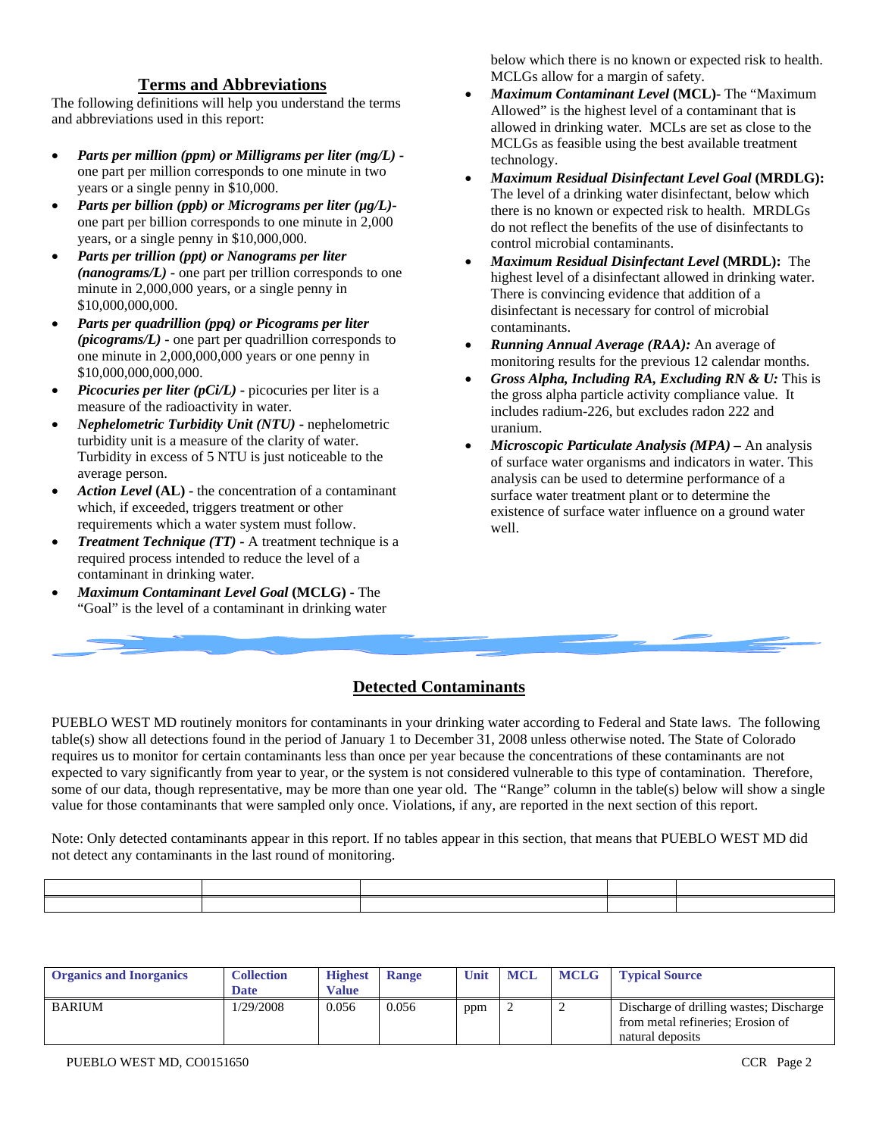#### **Terms and Abbreviations**

The following definitions will help you understand the terms and abbreviations used in this report:

- *Parts per million (ppm) or Milligrams per liter (mg/L)* one part per million corresponds to one minute in two years or a single penny in \$10,000.
- *Parts per billion (ppb) or Micrograms per liter (µg/L)* one part per billion corresponds to one minute in 2,000 years, or a single penny in \$10,000,000.
- *Parts per trillion (ppt) or Nanograms per liter (nanograms/L)* **-** one part per trillion corresponds to one minute in 2,000,000 years, or a single penny in \$10,000,000,000.
- *Parts per quadrillion (ppq) or Picograms per liter (picograms/L)* **-** one part per quadrillion corresponds to one minute in 2,000,000,000 years or one penny in \$10,000,000,000,000.
- *Picocuries per liter (pCi/L)* **-** picocuries per liter is a measure of the radioactivity in water.
- *Nephelometric Turbidity Unit (NTU)* **-** nephelometric turbidity unit is a measure of the clarity of water. Turbidity in excess of 5 NTU is just noticeable to the average person.
- *Action Level* **(AL) -** the concentration of a contaminant which, if exceeded, triggers treatment or other requirements which a water system must follow.
- *Treatment Technique (TT)* **-** A treatment technique is a required process intended to reduce the level of a contaminant in drinking water.
- *Maximum Contaminant Level Goal* **(MCLG) -** The "Goal" is the level of a contaminant in drinking water

below which there is no known or expected risk to health. MCLGs allow for a margin of safety.

- *Maximum Contaminant Level* **(MCL)-** The "Maximum Allowed" is the highest level of a contaminant that is allowed in drinking water. MCLs are set as close to the MCLGs as feasible using the best available treatment technology.
- *Maximum Residual Disinfectant Level Goal* **(MRDLG):** The level of a drinking water disinfectant, below which there is no known or expected risk to health. MRDLGs do not reflect the benefits of the use of disinfectants to control microbial contaminants.
- *Maximum Residual Disinfectant Level* **(MRDL):** The highest level of a disinfectant allowed in drinking water. There is convincing evidence that addition of a disinfectant is necessary for control of microbial contaminants.
- *Running Annual Average (RAA):* An average of monitoring results for the previous 12 calendar months.
- *Gross Alpha, Including RA, Excluding RN & U:* This is the gross alpha particle activity compliance value. It includes radium-226, but excludes radon 222 and uranium.
- *Microscopic Particulate Analysis (MPA) –* An analysis of surface water organisms and indicators in water. This analysis can be used to determine performance of a surface water treatment plant or to determine the existence of surface water influence on a ground water well.

## **Detected Contaminants**

PUEBLO WEST MD routinely monitors for contaminants in your drinking water according to Federal and State laws. The following table(s) show all detections found in the period of January 1 to December 31, 2008 unless otherwise noted. The State of Colorado requires us to monitor for certain contaminants less than once per year because the concentrations of these contaminants are not expected to vary significantly from year to year, or the system is not considered vulnerable to this type of contamination. Therefore, some of our data, though representative, may be more than one year old. The "Range" column in the table(s) below will show a single value for those contaminants that were sampled only once. Violations, if any, are reported in the next section of this report.

Note: Only detected contaminants appear in this report. If no tables appear in this section, that means that PUEBLO WEST MD did not detect any contaminants in the last round of monitoring.

| <b>Organics and Inorganics</b> | <b>Collection</b><br><b>Date</b> | <b>Highest</b><br>Value | <b>Range</b> | Unit | <b>MCL</b> | <b>MCLG</b> Typical Source                                                                       |
|--------------------------------|----------------------------------|-------------------------|--------------|------|------------|--------------------------------------------------------------------------------------------------|
| <b>BARIUM</b>                  | 1/29/2008                        | 0.056                   | 0.056        | ppm  |            | Discharge of drilling wastes; Discharge<br>from metal refineries; Erosion of<br>natural deposits |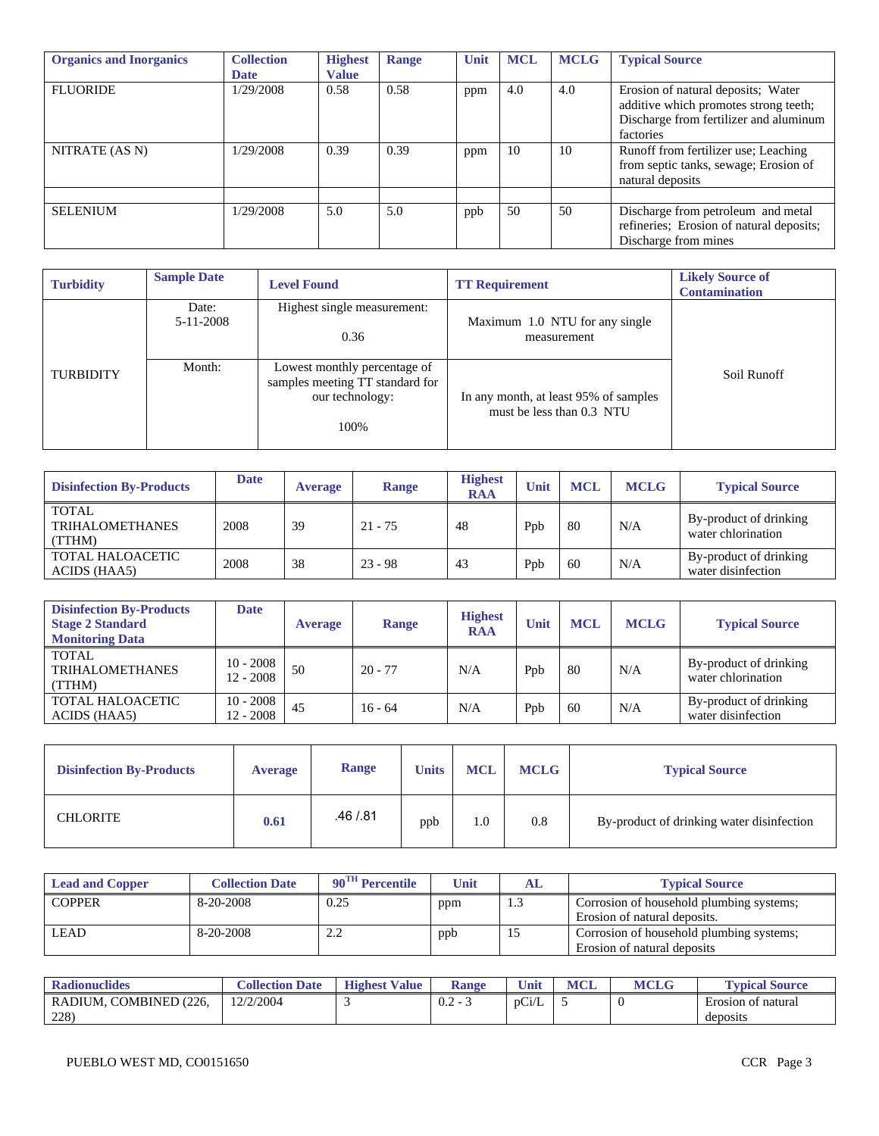| <b>Organics and Inorganics</b> | <b>Collection</b><br><b>Date</b> | <b>Highest</b><br><b>Value</b> | Range | Unit | <b>MCL</b> | <b>MCLG</b> | <b>Typical Source</b>                                                                                                              |
|--------------------------------|----------------------------------|--------------------------------|-------|------|------------|-------------|------------------------------------------------------------------------------------------------------------------------------------|
| <b>FLUORIDE</b>                | 1/29/2008                        | 0.58                           | 0.58  | ppm  | 4.0        | 4.0         | Erosion of natural deposits; Water<br>additive which promotes strong teeth;<br>Discharge from fertilizer and aluminum<br>factories |
| NITRATE (AS N)                 | 1/29/2008                        | 0.39                           | 0.39  | ppm  | 10         | 10          | Runoff from fertilizer use; Leaching<br>from septic tanks, sewage; Erosion of<br>natural deposits                                  |
| <b>SELENIUM</b>                | 1/29/2008                        | 5.0                            | 5.0   | ppb  | 50         | 50          | Discharge from petroleum and metal<br>refineries; Erosion of natural deposits;<br>Discharge from mines                             |

| <b>Turbidity</b> | <b>Sample Date</b> | <b>Level Found</b>                                                                         | <b>TT Requirement</b>                                              | <b>Likely Source of</b><br><b>Contamination</b> |
|------------------|--------------------|--------------------------------------------------------------------------------------------|--------------------------------------------------------------------|-------------------------------------------------|
|                  | Date:<br>5-11-2008 | Highest single measurement:<br>0.36                                                        | Maximum 1.0 NTU for any single<br>measurement                      |                                                 |
| <b>TURBIDITY</b> | Month:             | Lowest monthly percentage of<br>samples meeting TT standard for<br>our technology:<br>100% | In any month, at least 95% of samples<br>must be less than 0.3 NTU | Soil Runoff                                     |

| <b>Disinfection By-Products</b>                  | <b>Date</b> | <b>Average</b> | <b>Range</b> | <b>Highest</b><br><b>RAA</b> | Unit | <b>MCL</b> | <b>MCLG</b> | <b>Typical Source</b>                        |
|--------------------------------------------------|-------------|----------------|--------------|------------------------------|------|------------|-------------|----------------------------------------------|
| <b>TOTAL</b><br><b>TRIHALOMETHANES</b><br>(TTHM) | 2008        | 39             | $21 - 75$    | 48                           | Ppb  | 80         | N/A         | By-product of drinking<br>water chlorination |
| TOTAL HALOACETIC<br>ACIDS (HAA5)                 | 2008        | 38             | $23 - 98$    | 43                           | Ppb  | 60         | N/A         | By-product of drinking<br>water disinfection |

| <b>Disinfection By-Products</b><br><b>Stage 2 Standard</b><br><b>Monitoring Data</b> | Date                       | <b>Average</b> | <b>Range</b> | <b>Highest</b><br><b>RAA</b> | Unit | <b>MCL</b> | <b>MCLG</b> | <b>Typical Source</b>                        |
|--------------------------------------------------------------------------------------|----------------------------|----------------|--------------|------------------------------|------|------------|-------------|----------------------------------------------|
| TOTAL<br>TRIHALOMETHANES<br>(TTHM)                                                   | $10 - 2008$<br>$12 - 2008$ | 50             | $20 - 77$    | N/A                          | Ppb  | 80         | N/A         | By-product of drinking<br>water chlorination |
| <b>TOTAL HALOACETIC</b><br>ACIDS (HAA5)                                              | $10 - 2008$<br>12 - 2008   | 45             | $16 - 64$    | N/A                          | Ppb  | 60         | N/A         | By-product of drinking<br>water disinfection |

| <b>Disinfection By-Products</b> | <b>Average</b> | Range     | <b>Units</b> | <b>MCL</b> | <b>MCLG</b> | <b>Typical Source</b>                     |
|---------------------------------|----------------|-----------|--------------|------------|-------------|-------------------------------------------|
| <b>CHLORITE</b>                 | 0.61           | .46 / .81 | ppb          | 1.0        | 0.8         | By-product of drinking water disinfection |

| <b>Lead and Copper</b> | <b>Collection Date</b> | $90^{\text{TH}}$ Percentile | Unit | AL  | <b>Typical Source</b>                                                    |
|------------------------|------------------------|-----------------------------|------|-----|--------------------------------------------------------------------------|
| <b>COPPER</b>          | 8-20-2008              | 0.25                        | ppm  | 1.3 | Corrosion of household plumbing systems;<br>Erosion of natural deposits. |
| LEAD                   | 8-20-2008              | <u>_</u>                    | ppb  | 15  | Corrosion of household plumbing systems;<br>Erosion of natural deposits  |

| <b>Radionuclides</b>               | <b>Collection Date</b> | <b>Highest</b><br><b>Value</b> | <b>Range</b>                                                        | Unit  | <b>MCL</b> | <b>MCLG</b> | <b>Typical Source</b>                            |
|------------------------------------|------------------------|--------------------------------|---------------------------------------------------------------------|-------|------------|-------------|--------------------------------------------------|
| , COMBINED (226,<br>RADIUM.<br>228 | 12/2/2004              |                                | $\cap$<br>$\overline{\phantom{0}}$<br>$\mathsf{u} \cdot \mathsf{v}$ | pCi/L |            | v           | $\blacksquare$<br>Erosion of natural<br>deposits |